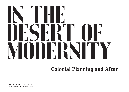Haus der Kulturen der Welt 29. August – 26. Oktober 2008



# In the BET OF STREET modernity

### **Colonial Planning and After**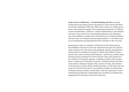**In the Desert of Modernity – Colonial Planning and After** presents architectural and urban projects developed in North Africa and Western Europe during the 1950s and 1960s in the context of colonial governance, anti-colonial struggles, and transnational migration. It tells the stories of inhabitants, architects, colonial administrators, and scholars involved in the controversy surrounding modernity and modernisation. The exhibition examines the contradictions of colonial modernity and the forms of resistance that developed against it—all within a process of negotiation and appropriation that continues to this very day.

Examining a range of exemplary architectural and urban projects, the exhibition reveals how post-war modernism was put into practice under colonial rule. The large urban planning schemes developed for North Africa by architects working for offices like ATBAT Afrique played a key role in colonial modernisation—and beyond. Indeed, mass housing projects designed for North African cities soon migrated to the outskirts of European capitals, resulting in suburbs that became home to hundreds of thousands of people. Colonial housing and settlement policies radically changed cities, modes of living, and architectural discourse in North Africa and Europe alike. At the same time, the projects in North Africa led to a postmodern critique of architecture in Western Europe and the United States, with the experience of anticolonialism permanently undermining the certainties of technocratic planning held by Europe's modernist architects.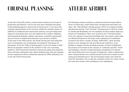At the end of the 18th century, social reform, based on new forms of production and lifestyle, was for the first time translated into plans. Urban planning played a central role in this process. It served as the strategic appropriation of the territory within the colonial context. In addition to residential and construction policies, new governing techniques for European cities were developed in the colonies. Planning and educational methods, military operations, scientific experiments and new forms of industrial production were tested or refined. At the start of the 20th century, the North African port and industrial town of Casablanca was strategically developed by Europeans for Europeans. From the 1930s on demographics in the city began to shift. Moroccan migrants settled on the outskirts of the city in growing numbers. The Protectorate launched construction plans and organized these self-built settlements into clearly defined zones.The anti-colonial protest organized in these settlements during the 1950s ultimately led to the end of the Protectorate.

# Colonial Planning atelier afrique

For European modern architects colonial territories became laboratories in which they could realize their architectural and urban concepts. The "Sidi Othman" housing project (1951) by architects Studer and Hentsch and the "Cité Verticale" housing project (1952) by Candilis, Woods and Bodiansky are two examples of these modern high-rise projects in Casablanca. They were located in the "Cité Horizontale", a low-rise scheme of courtyard dwellings that was used by urban planner Michel Écochard for the large-scale expansions of Casablanca. Located in the direct vicinity of large "bidonvilles", these housing projects were designed for the new Moroccan workforce. In an attempt to engage with the dwelling practices of future inhabitants, the projects were based on the concept of "culturally-specific" dwelling typologies. Already existing European assumptions of cultural and racial difference were the point of departure. Under colonial rule, these categorisations were reinforced and turned into a means of exercising governmental power. The first housing estates were built far from the 'European' city, so that the residents of this city center would not come into contact with Casablanca's new inhabitants.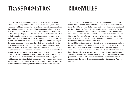## TRANSFORMATION BIDONVILLES

Today, very few buildings of the great master-plan for Casablanca resemble their original condition. Architectural photographs usually represent buildings immediately after their completion, as results of the architects' design intentions. What inhabitants subsequently do with the building, how they live in it, is not revealed. Furthermore, architectural photographs portray the buildings without an indication of their colonial context or resistance. Inhabitants, however, have inventively appropriated, extended or changed the buildings through various uses and redefinitions. The appropriation and re-building of the modern housing estates underline their special status from the early to the mid1950s. After all, the post-war plans by Studer, Candilis and Écochard were based on spatial concepts that anticipated adaptations and re-adaptations. The concept of social housing without predefined use was developed in Morocco but it was only in the short anti-colonial period between the regime of the Protectorate and the restoration of the monarchy that it could be realized. Today, these buildings are often demolished to make way for property speculation. Since the country's opening to the global market, urban plans for the wealthy clients have changed the social structure of this area drastically.

The "bidonvilles", settlements built by their inhabitants out of canisters (French: bidon), arose on the outskirts of North African cities from the 1930s onwards. Today, these self-built settlements, also found on the peripheries of major European cities, are a reaction to the difficulty of finding affordable housing. In Morocco, these "bidonvilles" were viewed by the colonial authorities as a reservoir of cheap labour. Moreover, they were feared as a source of social unrest – just as in France, where hundreds of thousands of people had been living in such settlements since the Second World War. In the 1950s, anthropologists, sociologists, urban planners and modern architects became increasingly interested in the "bidonvilles" of Africa and Europe. However, they remained first and foremost important centres of anti-colonial movement. The hut settlements of Casablanca housed those who went on the streets to protest against the Protectorate as well as those who demonstrated against the government of independent Morocco. In 1961, it was in the "bidonvilles" of the Parisian suburbs that the major demonstrations against the Algerian War were initiated.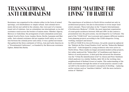### FROM 'MACHINE FOR Living' to Habitat

The experiences of architects in North Africa resulted not only in architectural projects, but also in discussions to revise major modernist concepts. These took place in the "Congrès Internationaux d'Architecture Moderne" (CIAM), the most important organisation of avant-garde architects between 1928 and 1959. In this context a presentation tool, the grid system, was developed by Le Corbusier. The goal of the "CIAM Grid" was to present and compare different modern town planning projects according to the CIAM categories: living, working, transport and leisure. In 1953 at CIAM IX in Aix-en-Provence, two grids caused an upheaval: the "Habitat du Plus Grand Nombre Grid" and the "Bidonville Mahieddine Grid" – both designed by young architects who were active in North Africa. These studies no longer presented modern urban projects, but rather analysed the "bidonvilles" of Casablanca and Algiers as fabrics of social practices. A third grid that attracted the attention was the "Urban Re-identification Grid" by Alison and Peter Smithson which analysed, in a similar fashion, daily life in the working class neighbourhood of Bethnal Green in London. This understanding of the built environment through the notion of social practice caused a radical shift in the modern movement's conception of dwelling – replacing earlier notions such as "machine à habiter" with the more inclusive notion of "Habitat".

Resistance was organized in the colonies either in the form of armed uprisings, civil disobedience or simple refusal. Anti-colonial movements did not just unfold in the colonies, they were part of a transnational web of relations. Just as colonialism was international, so too did resistance reach across the borders of nation-states. Whether Algeria, Morocco or Indochina: the protagonists of anti-colonialism acted and, indeed, lived in Paris, Lyon, London, Berne, Berlin, Lausanne and Marseille. Anti-colonial resistance did not organise itself solely as a relation between the colonial power and colony. It was a global movement that gathered the three continents of Africa, Asia and Latin America in a "Tricontinental Conference", co-founded by the Moroccan resistance fighter, Mehdi Ben Barka.

### Transnational Anti-Colonialism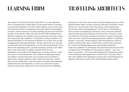## Learning From

The studies of the North African "bidonvilles" as a self-organised form of dwelling had a lasting effect on the global debate on architecture and urban planning. The 1953 CIAM congress in Aix-en-Provence and numerous articles in magazines and books helped to disseminate concepts, which focused on everyday dwelling practices and self-built housing. From the late 1950s until well into the 1960s building forms hitherto considered 'pre-modern' were accepted into the canon of postwar modernism. The exhibition "Architecture without Architects" by Bernard Rudofsky in the Museum of Modern Art in New York in 1964 propagated this idea internationally. The pre-industrial city, self-built constructions and self-organisation, as well as the participation of residents in the planning process, became exemplary models in the 1960s and are the expression of a global, colonial world in crisis. Nonetheless, the studies of the inhabitants' everyday practices often led to grave misinterpretations. The architects usually approached pre-modern construction forms out of context and overlooked or ignored the colonial conditions under which they had been created. After all, the "bidonvilles" were the result of colonial urban planning, industrialization and migration, as well as an expression of spontaneous construction, influenced by the structure of the old Medina.

### travelling Architects

Fascinated by the white cubic forms and local building practices of the Mediterranean region, modern architects had been traveling to North Africa ever since the end of the 19th century. These experiences, but also the artistic and pedagogical "Grand Tours" from Europe to Africa and the accompanying orientalist, exotic and erotic fantasies influenced the general projections on this territory. Designs by modern architects were often considered in Europe visionary statements. They were only realized as exceptional projects, models or exhibition designs. Conversely, colonial Algeria, Tunisia and Morocco offered modern architects the space in which they could develop, and above all, realize new building approaches and housing settlements. Under the conditions of colonialism, the theoretical and practical tools and approaches for building "for the greatest number" – post-war mass construction – were tested and implemented. During the period of decolonization these approaches travelled back to Europe, where they were applied in the planning for large-scale social housing developments and tourist resorts in the whole Mediterranean region.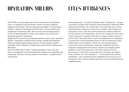# Opération Million

In the 1960s, not only people moved from rural areas into European cities, or emigrated from the former colonies to France, Belgium, England and Germany. The new approach of building "for the greatest number", which was developed in North Africa, also travelled to the peripheries of European cities. Here as well, mass housing projects, or the "Grands Ensembles" as they were called, were erected on or alongside migrants' settlements.

Empowered by numerous government initiatives such as the "Opération Million" competition, architects like Georges Candilis and Shadrach Woods developed large housing schemes "for the greatest number", especially in the "banlieues" of large cities such as Paris, Toulouse and Marseilles.

Since the 1980s some of these "Grands Ensembles" have come into focus, as flashpoints of social and political struggles over migration and citizenship. They have become centers of resistance – colonial history strikes back.

### Cités d'Urgences

Relocating people – an official strategy called "relogement" – became a generally accepted tool of modern urban planning in 1940s and 1950s colonial North Africa. The "bidonvilles" were the main focus of this relocation policy. People were moved to so-called "cités d'urgences" (emergency cities), that were often designed by modern architects for fast and low cost construction. All over the colonial territory these "cités d'urgences" emerged in the form of camps, mainly characterised by strict rules and control. Later, the inhabitants were displaced a second time to their permanent homes in the developments called "Habitations à Loyer Modéré" (HLM, low rent housing blocks). In post-war France, bad housing conditions combined with rural migration, immigration from former colonies and changing demographics caused a housing crisis. The policy deployed by the government to tackle this crisis echoed the strategies developed in the colonies: the "îlots insalubres" – old housing blocks and hut settlements – were cleared and their inhabitants moved by force to emergency cities, workers hostels and a few to the new HLM housing neighbourhoods.